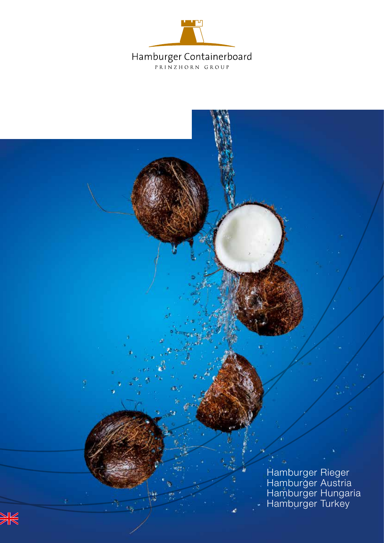

Hamburger Rieger Hamburger Austria Hamburger Hungaria Hamburger Turkey



ģ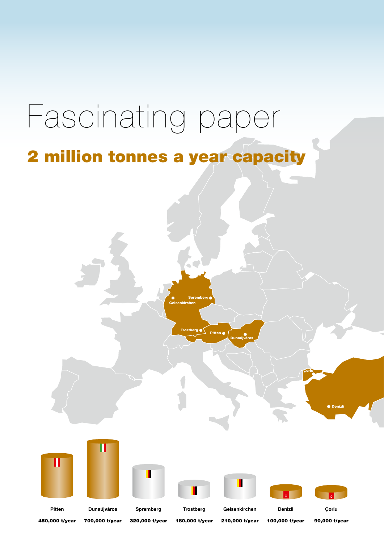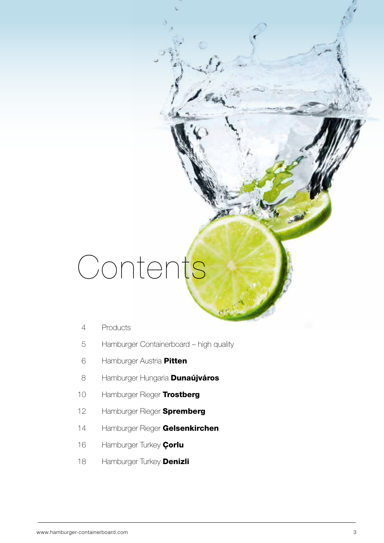# Contents

- 4 Products
- 5 Hamburger Containerboard high quality
- 6 Hamburger Austria Pitten
- 8 Hamburger Hungaria **Dunaújváros**
- 10 Hamburger Rieger Trostberg
- 12 Hamburger Rieger **Spremberg**
- 14 Hamburger Rieger Gelsenkirchen
- 16 Hamburger Turkey Çorlu
- 18 Hamburger Turkey **Denizli**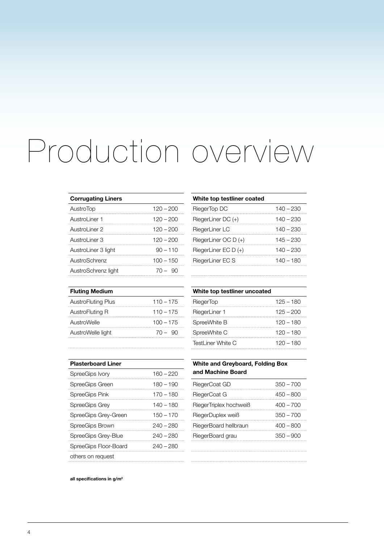## Production overview

| <b>Corrugating Liners</b> |             |
|---------------------------|-------------|
| <b>AustroTop</b>          | $120 - 200$ |
| Austrol iner 1            | $120 - 200$ |
| Austrol iner 2            | $120 - 200$ |
| AustroLiner 3             | $120 - 200$ |
| AustroLiner 3 light       | $90 - 110$  |
| AustroSchrenz             | 100 – 150   |
| AustroSchrenz light       |             |

| White top testliner coated |             |
|----------------------------|-------------|
| RiegerTop DC               | 140 – 230   |
| RiegerLiner DC (+)         | $140 - 230$ |
| RiegerLiner LC             | 140 – 230   |
| RiegerLiner OC D (+)       | $145 - 230$ |
| RiegerLiner EC $D (+)$     | $140 - 230$ |
| RiegerLiner EC S           | 140 – 180   |
|                            |             |

| <b>Fluting Medium</b>     |             |
|---------------------------|-------------|
| <b>AustroFluting Plus</b> | $110 - 175$ |
| AustroFluting R           | $110 - 175$ |
| AustroWelle               | $100 - 175$ |
| AustroWelle light         | $70 - 90$   |
|                           |             |

| White top testliner uncoated |             |
|------------------------------|-------------|
| RiegerTop                    | $125 - 180$ |
| RiegerLiner 1                | $125 - 200$ |
| SpreeWhite B                 | $120 - 180$ |
| SpreeWhite C                 | $120 - 180$ |
| TestLiner White C            | $120 - 180$ |

| <b>Plasterboard Liner</b> |             |
|---------------------------|-------------|
| SpreeGips Ivory           | $160 - 220$ |
| SpreeGips Green           | $180 - 190$ |
| SpreeGips Pink            | $170 - 180$ |
| SpreeGips Grey            | $140 - 180$ |
| SpreeGips Grey-Green      | $150 - 170$ |
| SpreeGips Brown           | $240 - 280$ |
| SpreeGips Grey-Blue       | $240 - 280$ |
| SpreeGips Floor-Board     | $240 - 280$ |
| others on request         |             |

#### **White and Greyboard, Folding Box and Machine Board**

| RiegerCoat GD          | $350 - 700$ |
|------------------------|-------------|
| RiegerCoat G           | $450 - 800$ |
| RiegerTriplex hochweiß | $400 - 700$ |
| RiegerDuplex weiß      | $350 - 700$ |
| RiegerBoard hellbraun  | 400 – 800   |
| RiegerBoard grau       | $350 - 900$ |
|                        |             |

**all specifications in g/m2**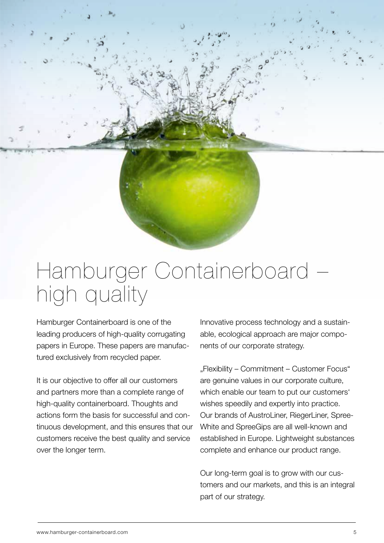#### Hamburger Containerboard – high quality

Hamburger Containerboard is one of the leading producers of high-quality corrugating papers in Europe. These papers are manufactured exclusively from recycled paper.

It is our objective to offer all our customers and partners more than a complete range of high-quality containerboard. Thoughts and actions form the basis for successful and continuous development, and this ensures that our customers receive the best quality and service over the longer term.

Innovative process technology and a sustainable, ecological approach are major components of our corporate strategy.

"Flexibility – Commitment – Customer Focus" are genuine values in our corporate culture, which enable our team to put our customers' wishes speedily and expertly into practice. Our brands of AustroLiner, RiegerLiner, Spree-White and SpreeGips are all well-known and established in Europe. Lightweight substances complete and enhance our product range.

Our long-term goal is to grow with our customers and our markets, and this is an integral part of our strategy.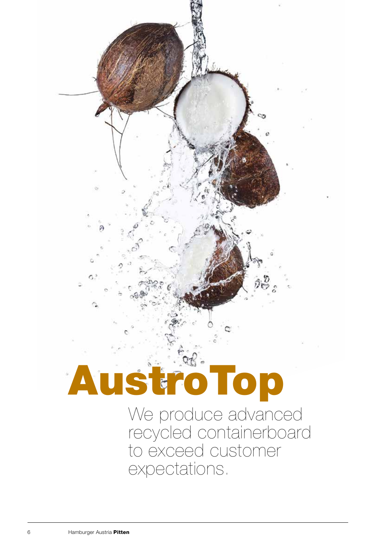# AustroTop

We produce advanced recycled containerboard to exceed customer expectations.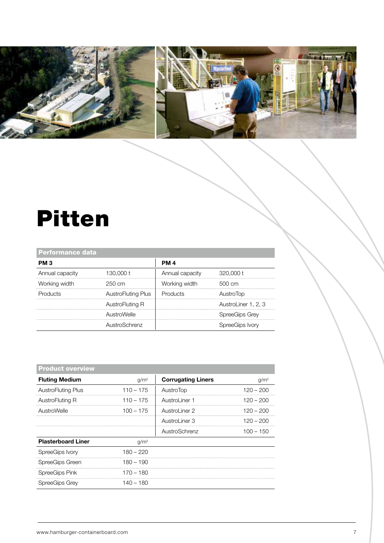

ı

#### Pitten

| <b>Performance data</b> |                    |                 |                     |
|-------------------------|--------------------|-----------------|---------------------|
| PM <sub>3</sub>         |                    | <b>PM 4</b>     |                     |
| Annual capacity         | 130.000 t          | Annual capacity | 320,000 t           |
| Working width           | 250 cm             | Working width   | 500 cm              |
| Products                | AustroFluting Plus | Products        | AustroTop           |
|                         | AustroFluting R    |                 | AustroLiner 1, 2, 3 |
|                         | AustroWelle        |                 | SpreeGips Grey      |
|                         | AustroSchrenz      |                 | SpreeGips Ivory     |

| <b>Product overview</b>   |                  |                           |             |
|---------------------------|------------------|---------------------------|-------------|
| <b>Fluting Medium</b>     | g/m <sup>2</sup> | <b>Corrugating Liners</b> | $q/m^2$     |
| <b>AustroFluting Plus</b> | $110 - 175$      | AustroTop                 | $120 - 200$ |
| AustroFluting R           | $110 - 175$      | Austrol iner 1            | 120 – 200   |
| AustroWelle               | $100 - 175$      | Austrol iner 2            | 120 – 200   |
|                           |                  | AustroLiner 3             | 120 – 200   |
|                           |                  | AustroSchrenz             | $100 - 150$ |
| <b>Plasterboard Liner</b> | g/m <sup>2</sup> |                           |             |
| SpreeGips Ivory           | 180 – 220        |                           |             |
| SpreeGips Green           | $180 - 190$      |                           |             |
| SpreeGips Pink            | 170 – 180        |                           |             |
| SpreeGips Grey            | 140 – 180        |                           |             |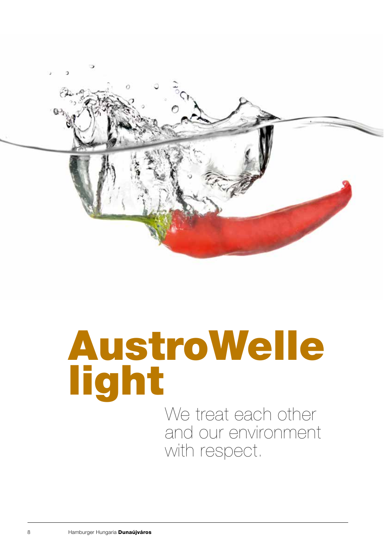

# AustroWelle light

We treat each other and our environment with respect.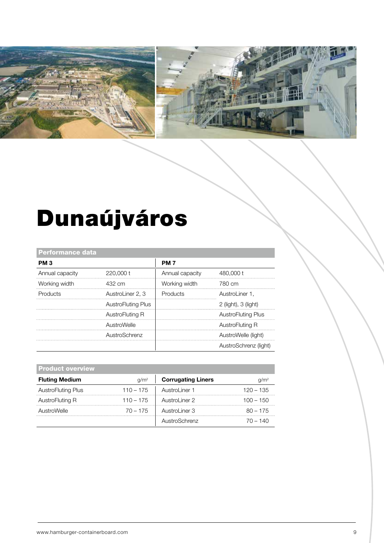

## Dunaújváros

| <b>Performance data</b> |                           |                 |                           |
|-------------------------|---------------------------|-----------------|---------------------------|
| PM <sub>3</sub>         |                           | <b>PM7</b>      |                           |
| Annual capacity         | 220,000 t                 | Annual capacity | 480,000 t                 |
| Working width           | 432 cm                    | Working width   | 780 cm                    |
| Products                | AustroLiner 2, 3          | Products        | AustroLiner 1.            |
|                         | <b>AustroFluting Plus</b> |                 | $2$ (light), $3$ (light)  |
|                         | AustroFluting R           |                 | <b>AustroFluting Plus</b> |
|                         | AustroWelle               |                 | AustroFluting R           |
|                         | AustroSchrenz             |                 | AustroWelle (light)       |
|                         |                           |                 | AustroSchrenz (light)     |
|                         |                           |                 |                           |

| <b>Product overview</b> |                  |                           |             |
|-------------------------|------------------|---------------------------|-------------|
| <b>Fluting Medium</b>   | a/m <sup>2</sup> | <b>Corrugating Liners</b> |             |
| AustroFluting Plus      | $110 - 175$      | Austrol iner 1            | $120 - 135$ |
| AustroFluting R         | $110 - 175$      | AustroLiner 2             | $100 - 150$ |
| AustroWelle             | $70 - 175$       | Austrol iner 3            | $80 - 175$  |
|                         |                  | AustroSchrenz             | 70 – 140    |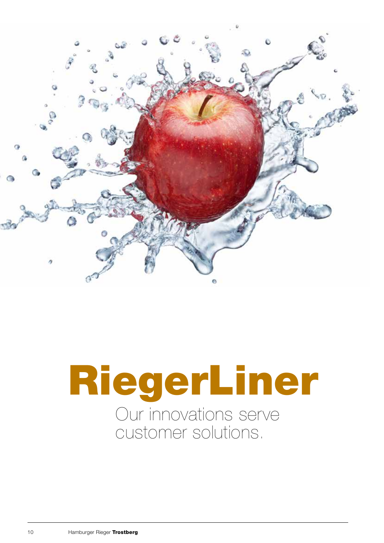

## RiegerLiner Our innovations serve customer solutions.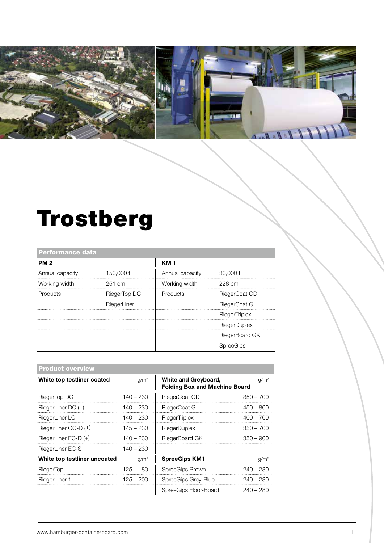

#### Trostberg

| <b>Performance data</b> |              |                 |                      |
|-------------------------|--------------|-----------------|----------------------|
| <b>PM2</b>              |              | <b>KM1</b>      |                      |
| Annual capacity         | 150,000 t    | Annual capacity | 30,000 t             |
| Working width           | 251 cm       | Working width   | 228 cm               |
| Products                | RiegerTop DC | Products        | RiegerCoat GD        |
|                         | RiegerLiner  |                 | RiegerCoat G         |
|                         |              |                 | <b>RiegerTriplex</b> |
|                         |              |                 | <b>RiegerDuplex</b>  |
|                         |              |                 | RiegerBoard GK       |
|                         |              |                 | <b>SpreeGips</b>     |

| <b>Product overview</b>      |                  |                                                              |                  |
|------------------------------|------------------|--------------------------------------------------------------|------------------|
| White top testliner coated   | q/m <sup>2</sup> | White and Greyboard,<br><b>Folding Box and Machine Board</b> | g/m <sup>2</sup> |
| RiegerTop DC                 | 140 – 230        | RiegerCoat GD                                                | $350 - 700$      |
| RiegerLiner DC (+)           | 140 – 230        | RiegerCoat G                                                 | 450 – 800        |
| RiegerLiner LC               | $140 - 230$      | <b>RiegerTriplex</b>                                         | $400 - 700$      |
| RiegerLiner OC-D (+)         | $145 - 230$      | <b>RiegerDuplex</b>                                          | $350 - 700$      |
| RiegerLiner EC-D (+)         | 140 – 230        | RiegerBoard GK                                               | $350 - 900$      |
| RiegerLiner EC-S             | 140 – 230        |                                                              |                  |
| White top testliner uncoated | q/m <sup>2</sup> | <b>SpreeGips KM1</b>                                         | g/m <sup>2</sup> |
| <b>RiegerTop</b>             | $125 - 180$      | SpreeGips Brown                                              | $240 - 280$      |
| RiegerLiner 1                | 125 – 200        | SpreeGips Grey-Blue                                          | $240 - 280$      |
|                              |                  | SpreeGips Floor-Board                                        | 240 – 280        |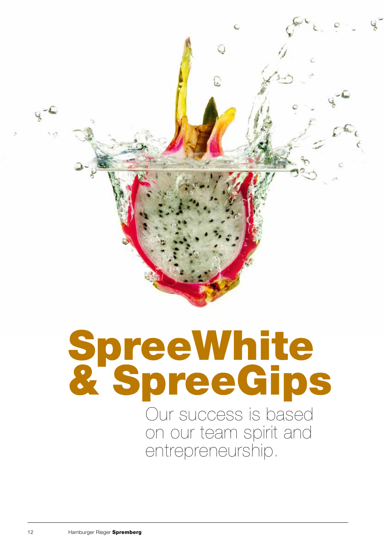

# SpreeWhite & SpreeGips

Our success is based on our team spirit and entrepreneurship.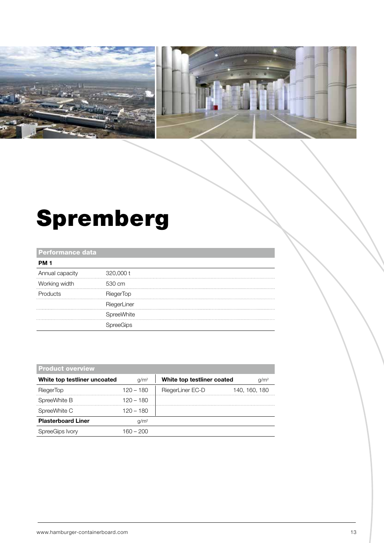

### Spremberg

#### Performance data

| Annual capacity | 320,000 t        |  |
|-----------------|------------------|--|
| Working width   | 530 cm           |  |
| Products        | <b>RiegerTop</b> |  |
|                 | RiegerLiner      |  |
|                 | SpreeWhite       |  |
|                 |                  |  |

| <b>Product overview</b>      |                  |                                                |  |
|------------------------------|------------------|------------------------------------------------|--|
| White top testliner uncoated | q/m <sup>2</sup> | White top testliner coated<br>q/m <sup>2</sup> |  |
| RiegerTop                    | 120 – 180        | RiegerLiner EC-D<br>140, 160, 180              |  |
| SpreeWhite B                 | 120 – 180        |                                                |  |
| SpreeWhite C                 | 120 – 180        |                                                |  |
| <b>Plasterboard Liner</b>    | q/m <sup>2</sup> |                                                |  |
| SpreeGips Ivory              | 160 – 200        |                                                |  |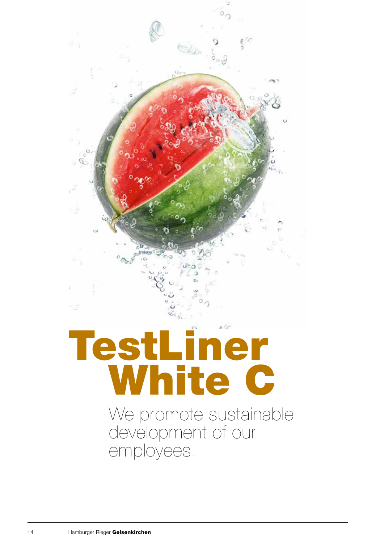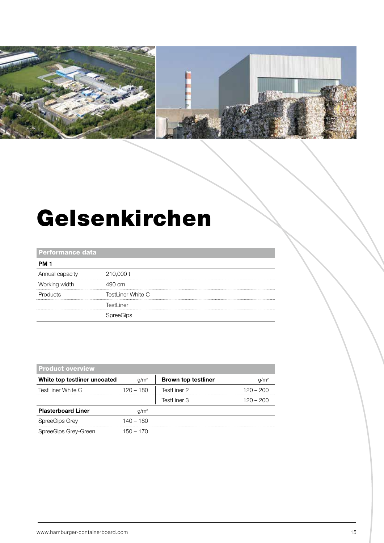

#### Gelsenkirchen

#### Performance data

| <b>PM 1</b>     |                          |  |
|-----------------|--------------------------|--|
| Annual capacity | 210,000 t                |  |
| Working width   | 490 cm                   |  |
| Products        | <b>TestLiner White C</b> |  |
|                 | TestLiner                |  |
|                 |                          |  |
|                 |                          |  |

| <b>Product overview</b>      |                  |                            |                  |
|------------------------------|------------------|----------------------------|------------------|
| White top testliner uncoated | q/m <sup>2</sup> | <b>Brown top testliner</b> | q/m <sup>2</sup> |
| TestLiner White C            | $120 - 180$      | TestLiner 2                | $120 - 200$      |
|                              |                  | TestLiner 3                | $120 - 200$      |
| <b>Plasterboard Liner</b>    | q/m <sup>2</sup> |                            |                  |
| <b>SpreeGips Grey</b>        | $140 - 180$      |                            |                  |
| SpreeGips Grey-Green         | 150 – 170        |                            |                  |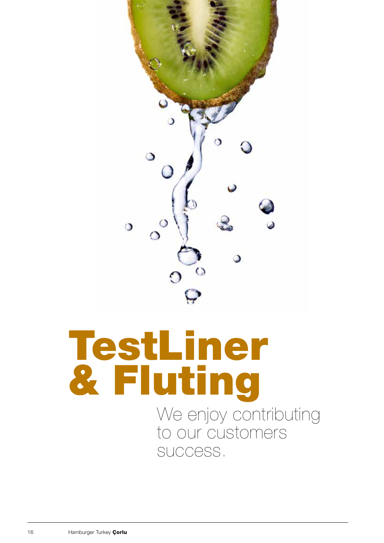

## We enjoy contributing to our customers TestLiner & Fluting

success.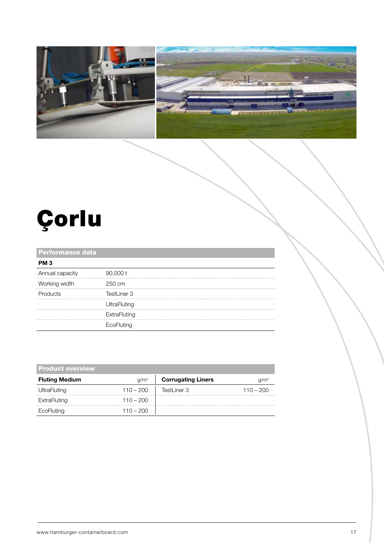



## Çorlu

#### Performance data

| PM 3            |                     |  |
|-----------------|---------------------|--|
| Annual capacity | 90,000 t            |  |
| Working width   | 250 cm              |  |
| <b>Products</b> | TestLiner 3         |  |
|                 | <b>UltraFluting</b> |  |
|                 | ExtraFluting        |  |
|                 | EcoFluting          |  |

| <b>Product overview</b> |                  |                           |             |
|-------------------------|------------------|---------------------------|-------------|
| <b>Fluting Medium</b>   | q/m <sup>2</sup> | <b>Corrugating Liners</b> | $q/m^2$     |
| UltraFluting            | $110 - 200$      | TestLiner 3               | $110 - 200$ |
| ExtraFluting            | $110 - 200$      |                           |             |
| EcoFluting              | $110 - 200$      |                           |             |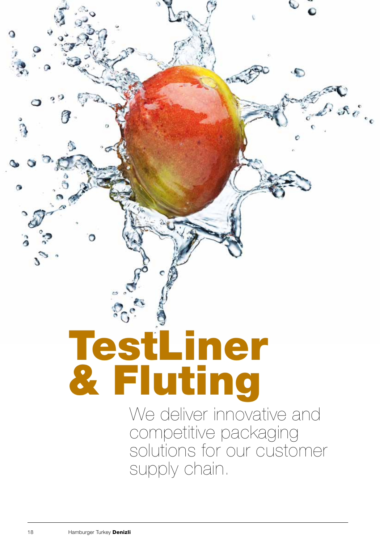# We deliver innovative and TestLiner & Fluting

competitive packaging solutions for our customer supply chain.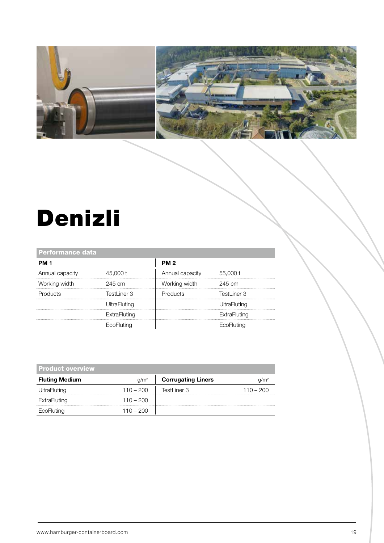

### Denizli

| <b>Performance data</b> |                     |                 |              |
|-------------------------|---------------------|-----------------|--------------|
| <b>PM 1</b>             |                     | <b>PM2</b>      |              |
| Annual capacity         | 45,000 t            | Annual capacity | 55,000 t     |
| Working width           | 245 cm              | Working width   | 245 cm       |
| <b>Products</b>         | TestLiner 3         | Products        | Testl iner 3 |
|                         | <b>UltraFluting</b> |                 | UltraFluting |
|                         | ExtraFluting        |                 | ExtraFluting |
|                         | <b>EcoFluting</b>   |                 | EcoFluting   |

| <b>Product overview</b> |                  |                           |             |
|-------------------------|------------------|---------------------------|-------------|
| <b>Fluting Medium</b>   | q/m <sup>2</sup> | <b>Corrugating Liners</b> |             |
| UltraFluting            | $110 - 200$      | TestLiner 3               | $110 - 200$ |
| ExtraFluting            | $110 - 200$      |                           |             |
| EcoFluting              | 110 – 200        |                           |             |